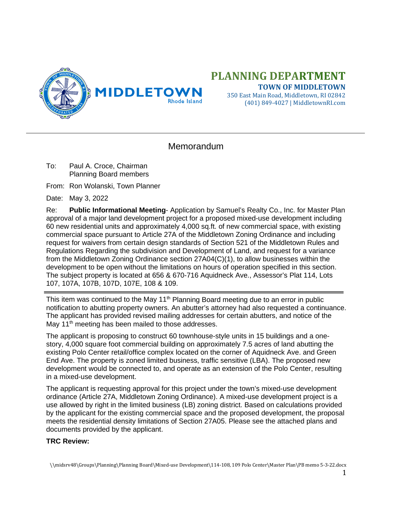

# **PLANNING DEPARTMENT TOWN OF MIDDLETOWN**

350 East Main Road, Middletown, RI 02842 (401) 849-4027 | MiddletownRI.com

# **Memorandum**

To: Paul A. Croce, Chairman Planning Board members

From: Ron Wolanski, Town Planner

Date: May 3, 2022

Re: **Public Informational Meeting**- Application by Samuel's Realty Co., Inc. for Master Plan approval of a major land development project for a proposed mixed-use development including 60 new residential units and approximately 4,000 sq.ft. of new commercial space, with existing commercial space pursuant to Article 27A of the Middletown Zoning Ordinance and including request for waivers from certain design standards of Section 521 of the Middletown Rules and Regulations Regarding the subdivision and Development of Land, and request for a variance from the Middletown Zoning Ordinance section 27A04(C)(1), to allow businesses within the development to be open without the limitations on hours of operation specified in this section. The subject property is located at 656 & 670-716 Aquidneck Ave., Assessor's Plat 114, Lots 107, 107A, 107B, 107D, 107E, 108 & 109.

This item was continued to the May 11<sup>th</sup> Planning Board meeting due to an error in public notification to abutting property owners. An abutter's attorney had also requested a continuance. The applicant has provided revised mailing addresses for certain abutters, and notice of the May 11<sup>th</sup> meeting has been mailed to those addresses.

The applicant is proposing to construct 60 townhouse-style units in 15 buildings and a onestory, 4,000 square foot commercial building on approximately 7.5 acres of land abutting the existing Polo Center retail/office complex located on the corner of Aquidneck Ave. and Green End Ave. The property is zoned limited business, traffic sensitive (LBA). The proposed new development would be connected to, and operate as an extension of the Polo Center, resulting in a mixed-use development.

The applicant is requesting approval for this project under the town's mixed-use development ordinance (Article 27A, Middletown Zoning Ordinance). A mixed-use development project is a use allowed by right in the limited business (LB) zoning district. Based on calculations provided by the applicant for the existing commercial space and the proposed development, the proposal meets the residential density limitations of Section 27A05. Please see the attached plans and documents provided by the applicant.

#### **TRC Review:**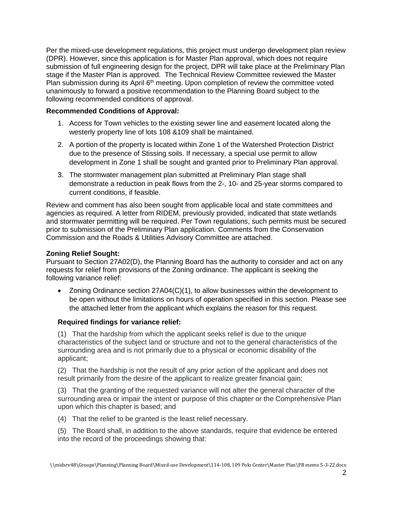Per the mixed-use development regulations, this project must undergo development plan review (DPR). However, since this application is for Master Plan approval, which does not require submission of full engineering design for the project, DPR will take place at the Preliminary Plan stage if the Master Plan is approved. The Technical Review Committee reviewed the Master Plan submission during its April 6<sup>th</sup> meeting. Upon completion of review the committee voted unanimously to forward a positive recommendation to the Planning Board subject to the following recommended conditions of approval.

### **Recommended Conditions of Approval:**

- 1. Access for Town vehicles to the existing sewer line and easement located along the westerly property line of lots 108 &109 shall be maintained.
- 2. A portion of the property is located within Zone 1 of the Watershed Protection District due to the presence of Stissing soils. If necessary, a special use permit to allow development in Zone 1 shall be sought and granted prior to Preliminary Plan approval.
- 3. The stormwater management plan submitted at Preliminary Plan stage shall demonstrate a reduction in peak flows from the 2-, 10- and 25-year storms compared to current conditions, if feasible.

Review and comment has also been sought from applicable local and state committees and agencies as required. A letter from RIDEM, previously provided, indicated that state wetlands and stormwater permitting will be required. Per Town regulations, such permits must be secured prior to submission of the Preliminary Plan application. Comments from the Conservation Commission and the Roads & Utilities Advisory Committee are attached.

## **Zoning Relief Sought:**

Pursuant to Section 27A02(D), the Planning Board has the authority to consider and act on any requests for relief from provisions of the Zoning ordinance. The applicant is seeking the following variance relief:

• Zoning Ordinance section 27A04(C)(1), to allow businesses within the development to be open without the limitations on hours of operation specified in this section. Please see the attached letter from the applicant which explains the reason for this request.

# **Required findings for variance relief:**

(1) That the hardship from which the applicant seeks relief is due to the unique characteristics of the subject land or structure and not to the general characteristics of the surrounding area and is not primarily due to a physical or economic disability of the applicant;

(2) That the hardship is not the result of any prior action of the applicant and does not result primarily from the desire of the applicant to realize greater financial gain;

(3) That the granting of the requested variance will not alter the general character of the surrounding area or impair the intent or purpose of this chapter or the Comprehensive Plan upon which this chapter is based; and

(4) That the relief to be granted is the least relief necessary.

(5) The Board shall, in addition to the above standards, require that evidence be entered into the record of the proceedings showing that: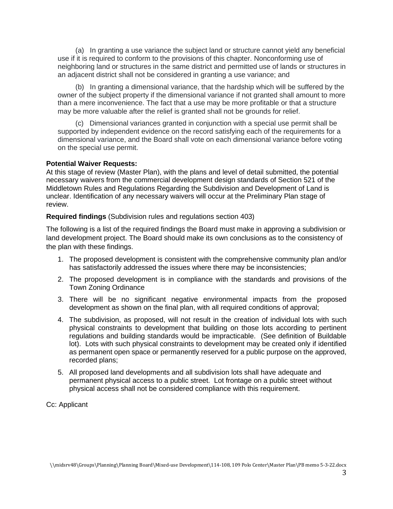(a) In granting a use variance the subject land or structure cannot yield any beneficial use if it is required to conform to the provisions of this chapter. Nonconforming use of neighboring land or structures in the same district and permitted use of lands or structures in an adjacent district shall not be considered in granting a use variance; and

 (b) In granting a dimensional variance, that the hardship which will be suffered by the owner of the subject property if the dimensional variance if not granted shall amount to more than a mere inconvenience. The fact that a use may be more profitable or that a structure may be more valuable after the relief is granted shall not be grounds for relief.

 (c) Dimensional variances granted in conjunction with a special use permit shall be supported by independent evidence on the record satisfying each of the requirements for a dimensional variance, and the Board shall vote on each dimensional variance before voting on the special use permit.

### **Potential Waiver Requests:**

At this stage of review (Master Plan), with the plans and level of detail submitted, the potential necessary waivers from the commercial development design standards of Section 521 of the Middletown Rules and Regulations Regarding the Subdivision and Development of Land is unclear. Identification of any necessary waivers will occur at the Preliminary Plan stage of review.

**Required findings** (Subdivision rules and regulations section 403)

The following is a list of the required findings the Board must make in approving a subdivision or land development project. The Board should make its own conclusions as to the consistency of the plan with these findings.

- 1. The proposed development is consistent with the comprehensive community plan and/or has satisfactorily addressed the issues where there may be inconsistencies;
- 2. The proposed development is in compliance with the standards and provisions of the Town Zoning Ordinance
- 3. There will be no significant negative environmental impacts from the proposed development as shown on the final plan, with all required conditions of approval;
- 4. The subdivision, as proposed, will not result in the creation of individual lots with such physical constraints to development that building on those lots according to pertinent regulations and building standards would be impracticable. (See definition of Buildable lot). Lots with such physical constraints to development may be created only if identified as permanent open space or permanently reserved for a public purpose on the approved, recorded plans;
- 5. All proposed land developments and all subdivision lots shall have adequate and permanent physical access to a public street. Lot frontage on a public street without physical access shall not be considered compliance with this requirement.

Cc: Applicant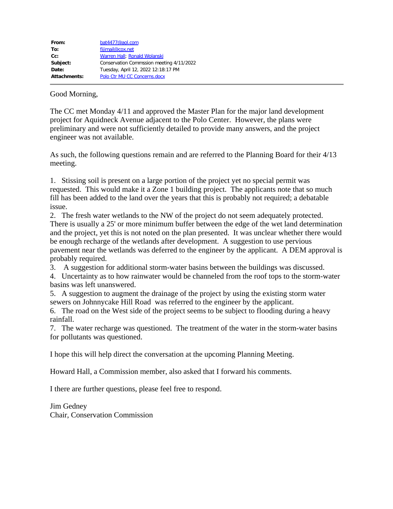| From:        | bat4477@aol.com                          |
|--------------|------------------------------------------|
| To:          | fijimail@cox.net                         |
| $Cc$ :       | Warren Hall; Ronald Wolanski             |
| Subject:     | Conservation Commssion meeting 4/11/2022 |
| Date:        | Tuesday, April 12, 2022 12:18:17 PM      |
| Attachments: | Polo Ctr MU CC Concerns.docx             |
|              |                                          |

### Good Morning,

The CC met Monday 4/11 and approved the Master Plan for the major land development project for Aquidneck Avenue adjacent to the Polo Center. However, the plans were preliminary and were not sufficiently detailed to provide many answers, and the project engineer was not available.

As such, the following questions remain and are referred to the Planning Board for their 4/13 meeting.

1. Stissing soil is present on a large portion of the project yet no special permit was requested. This would make it a Zone 1 building project. The applicants note that so much fill has been added to the land over the years that this is probably not required; a debatable issue.

2. The fresh water wetlands to the NW of the project do not seem adequately protected. There is usually a 25' or more minimum buffer between the edge of the wet land determination and the project, yet this is not noted on the plan presented. It was unclear whether there would be enough recharge of the wetlands after development. A suggestion to use pervious pavement near the wetlands was deferred to the engineer by the applicant. A DEM approval is probably required.

3. A suggestion for additional storm-water basins between the buildings was discussed.

4. Uncertainty as to how rainwater would be channeled from the roof tops to the storm-water basins was left unanswered.

5. A suggestion to augment the drainage of the project by using the existing storm water sewers on Johnnycake Hill Road was referred to the engineer by the applicant.

6. The road on the West side of the project seems to be subject to flooding during a heavy rainfall.

7. The water recharge was questioned. The treatment of the water in the storm-water basins for pollutants was questioned.

I hope this will help direct the conversation at the upcoming Planning Meeting.

Howard Hall, a Commission member, also asked that I forward his comments.

I there are further questions, please feel free to respond.

Jim Gedney Chair, Conservation Commission